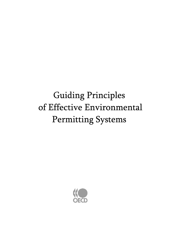# Guiding Principles of Effective Environmental Permitting Systems

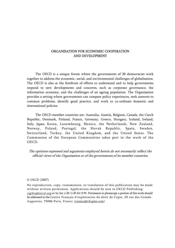#### ORGANISATION FOR ECONOMIC COOPERATION AND DEVELOPMENT

The OECD is a unique forum where the governments of 30 democracies work together to address the economic, social, and environmental challenges of globalisation. The OECD is also at the forefront of efforts to understand and to help governments respond to new developments and concerns, such as corporate governance, the information economy, and the challenges of an ageing population. The Organisation provides a setting where governments can compare policy experiences, seek answers to common problems, identify good practice, and work to co-ordinate domestic and international policies.

The OECD member countries are: Australia, Austria, Belgium, Canada, the Czech Republic, Denmark, Finland, France, Germany, Greece, Hungary, Iceland, Ireland, Italy, Japan, Korea, Luxembourg, Mexico, the Netherlands, New Zealand, Norway, Poland, Portugal, the Slovak Republic, Spain, Sweden, Switzerland, Turkey, the United Kingdom, and the United States. The Commission of the European Communities takes part in the work of the OECD.

The opinions expressed and arguments employed herein do not necessarily reflect the official views of the Organisation or of the governments of its member countries.

#### © OECD (2007)

No reproduction, copy, transmission, or translation of this publication may be made without written permission. Applications should be sent to OECD Publishing: rights@oecd.org or by fax (+33-1) 45 24 13 91. Permission to photocopy a portion of this work should be addressed to the Centre Français d'exploitation du droit de Copie, 20 rue des Grands-Augustins, 75006 Paris, France (contact@cfcopies.com).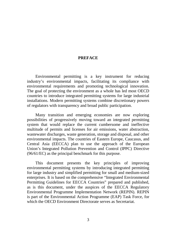### **PREFACE**

Environmental permitting is a key instrument for reducing industry's environmental impacts, facilitating its compliance with environmental requirements and promoting technological innovation. The goal of protecting the environment as a whole has led most OECD countries to introduce integrated permitting systems for large industrial installations. Modern permitting systems combine discretionary powers of regulators with transparency and broad public participation.

Many transition and emerging economies are now exploring possibilities of progressively moving toward an integrated permitting system that would replace the current cumbersome and ineffective multitude of permits and licenses for air emissions, water abstraction, wastewater discharges, waste generation, storage and disposal, and other environmental impacts. The countries of Eastern Europe, Caucasus, and Central Asia (EECCA) plan to use the approach of the European Union's Integrated Pollution Prevention and Control (IPPC) Directive (96/61/EC) as the principal benchmark for this purpose.

This document presents the key principles of improving environmental permitting systems by introducing integrated permitting for large industry and simplified permitting for small and medium-sized enterprises. It is based on the comprehensive "Integrated Environmental Permitting Guidelines for EECCA Countries" prepared and published, as is this document, under the auspices of the EECCA Regulatory Environmental Programme Implementation Network (REPIN). REPIN is part of the Environmental Action Programme (EAP) Task Force, for which the OECD Environment Directorate serves as Secretariat.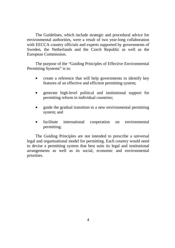The Guidelines, which include strategic and procedural advice for environmental authorities, were a result of two year-long collaboration with EECCA country officials and experts supported by governments of Sweden, the Netherlands and the Czech Republic as well as the European Commission.

The purpose of the "Guiding Principles of Effective Environmental Permitting Systems" is to:

- create a reference that will help governments to identify key features of an effective and efficient permitting system;
- generate high-level political and institutional support for permitting reform in individual countries;
- guide the gradual transition to a new environmental permitting system; and
- facilitate international cooperation on environmental permitting.

The Guiding Principles are not intended to prescribe a universal legal and organisational model for permitting. Each country would need to devise a permitting system that best suits its legal and institutional arrangements as well as its social, economic and environmental priorities.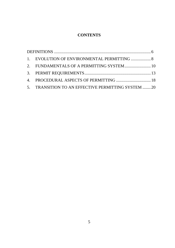# **CONTENTS**

|  | 2. FUNDAMENTALS OF A PERMITTING SYSTEM 10          |  |
|--|----------------------------------------------------|--|
|  |                                                    |  |
|  | 4. PROCEDURAL ASPECTS OF PERMITTING  18            |  |
|  | 5. TRANSITION TO AN EFFECTIVE PERMITTING SYSTEM 20 |  |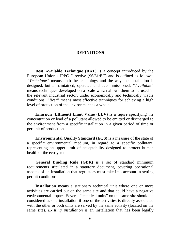#### **DEFINITIONS**

**Best Available Technique (BAT)** is a concept introduced by the European Union's IPPC Directive (96/61/EC) and is defined as follows: *"Technique"* means both the technology and the way the installation is designed, built, maintained, operated and decommissioned. *"Available"* means techniques developed on a scale which allows them to be used in the relevant industrial sector, under economically and technically viable conditions. *"Best"* means most effective techniques for achieving a high level of protection of the environment as a whole.

**Emission (Effluent) Limit Value (ELV)** is a figure specifying the concentration or load of a pollutant allowed to be emitted or discharged to the environment from a specific installation in a given period of time or per unit of production.

**Environmental Quality Standard (EQS)** is a measure of the state of a specific environmental medium, in regard to a specific pollutant, representing an upper limit of acceptability designed to protect human health or the ecosystem.

**General Binding Rule (GBR)** is a set of standard minimum requirements stipulated in a statutory document, covering operational aspects of an installation that regulators must take into account in setting permit conditions.

**Installation** means a stationary technical unit where one or more activities are carried out on the same site and that could have a negative environmental impact. Several "technical units" on the same site should be considered as one installation if one of the activities is directly associated with the other or both units are served by the same activity (located on the same site). *Existing installation* is an installation that has been legally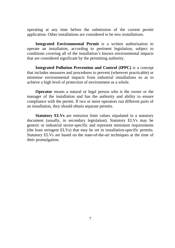operating at any time before the submission of the current permit application. Other installations are considered to be *new installations*.

**Integrated Environmental Permit** is a written authorisation to operate an installation, according to pertinent legislation, subject to conditions covering all of the installation's known environmental impacts that are considered significant by the permitting authority.

**Integrated Pollution Prevention and Control (IPPC)** is a concept that includes measures and procedures to prevent (wherever practicable) or minimise environmental impacts from industrial installations so as to achieve a high level of protection of environment as a whole.

**Operator** means a natural or legal person who is the owner or the manager of the installation and has the authority and ability to ensure compliance with the permit. If two or more operators run different parts of an installation, they should obtain separate permits.

**Statutory ELVs** are emission limit values stipulated in a statutory document (usually, in secondary legislation). Statutory ELVs may be generic or industrial sector-specific and represent minimum requirements (the least stringent ELVs) that may be set in installation-specific permits. Statutory ELVs are based on the state-of-the-art techniques at the time of their promulgation.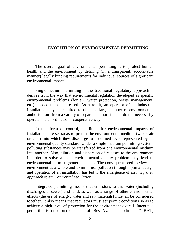## **1. EVOLUTION OF ENVIRONMENTAL PERMITTING**

The overall goal of environmental permitting is to protect human health and the environment by defining (in a transparent, accountable manner) legally binding requirements for individual sources of significant environmental impact.

Single-medium permitting  $-$  the traditional regulatory approach  $$ derives from the way that environmental regulation developed as specific environmental problems (for air, water protection, waste management, etc.) needed to be addressed. As a result, an operator of an industrial installation may be required to obtain a large number of environmental authorisations from a variety of separate authorities that do not necessarily operate in a coordinated or cooperative way.

In this form of control, the limits for environmental impacts of installations are set so as to protect the environmental medium (water, air or land) into which they discharge to a defined level represented by an environmental quality standard. Under a single-medium permitting system, polluting substances may be transferred from one environmental medium into another. Also, dilution and dispersion of releases to the environment in order to solve a local environmental quality problem may lead to environmental harm at greater distances. The consequent need to view the environment as a whole and to minimise pollution through optimal design and operation of an installation has led to the emergence of an *integrated approach to environmental regulation*.

Integrated permitting means that emissions to air, water (including discharges to sewer) and land, as well as a range of other environmental effects (the use of energy, water and raw materials) must all be considered together. It also means that regulators must set permit conditions so as to achieve a high level of protection for the environment overall. Integrated permitting is based on the concept of "Best Available Techniques" (BAT)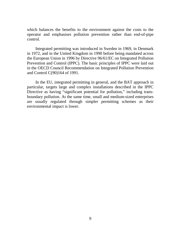which balances the benefits to the environment against the costs to the operator and emphasises pollution prevention rather than end-of-pipe control.

Integrated permitting was introduced in Sweden in 1969, in Denmark in 1972, and in the United Kingdom in 1990 before being mandated across the European Union in 1996 by Directive 96/61/EC on Integrated Pollution Prevention and Control (IPPC). The basic principles of IPPC were laid out in the OECD Council Recommendation on Integrated Pollution Prevention and Control C(90)164 of 1991.

In the EU, integrated permitting in general, and the BAT approach in particular, targets large and complex installations described in the IPPC Directive as having "significant potential for pollution," including transboundary pollution. At the same time, small and medium-sized enterprises are usually regulated through simpler permitting schemes as their environmental impact is lower.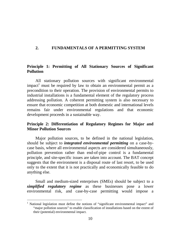## **2. FUNDAMENTALS OF A PERMITTING SYSTEM**

## **Principle 1: Permitting of All Stationary Sources of Significant Pollution**

All stationary pollution sources with significant environmental impact<sup>1</sup> must be required by law to obtain an environmental permit as a precondition to their operation. The provision of environmental permits to industrial installations is a fundamental element of the regulatory process addressing pollution. A coherent permitting system is also necessary to ensure that economic competition at both domestic and international levels remains fair under environmental regulations and that economic development proceeds in a sustainable way.

# **Principle 2: Differentiation of Regulatory Regimes for Major and Minor Pollution Sources**

Major pollution sources, to be defined in the national legislation, should be subject to *integrated environmental permitting* on a case-bycase basis, where all environmental aspects are considered simultaneously, pollution prevention rather than end-of-pipe control is a fundamental principle, and site-specific issues are taken into account. The BAT concept suggests that the environment is a disposal route of last resort, to be used only to the extent that it is not practically and economically feasible to do anything else.

Small and medium-sized enterprises (SMEs) should be subject to a *simplified regulatory regime* as these businesses pose a lower environmental risk, and case-by-case permitting would impose a

 $\overline{a}$ 

<sup>&</sup>lt;sup>1</sup> National legislation must define the notions of "significant environmental impact" and "major pollution sources" to enable classification of installations based on the extent of their (potential) environmental impact.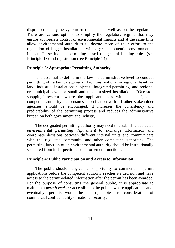disproportionately heavy burden on them, as well as on the regulators. There are various options to simplify the regulatory regime that may ensure appropriate control of environmental impacts and at the same time allow environmental authorities to devote more of their effort to the regulation of bigger installations with a greater potential environmental impact. These include permitting based on general binding rules (see Principle 13) and registration (see Principle 14).

### **Principle 3: Appropriate Permitting Authority**

It is essential to define in the law the administrative level to conduct permitting of certain categories of facilities: national or regional level for large industrial installations subject to integrated permitting, and regional or municipal level for small and medium-sized installations. "One-stop shopping" systems, where the applicant deals with one designated competent authority that ensures coordination with all other stakeholder agencies, should be encouraged. It increases the consistency and predictability of the permitting process and reduces the administrative burden on both government and industry.

The designated permitting authority may need to establish a dedicated *environmental permitting department* to exchange information and coordinate decisions between different internal units and communicate with the regulated community and other competent authorities. The permitting function of an environmental authority should be institutionally separated from its inspection and enforcement functions.

#### **Principle 4: Public Participation and Access to Information**

The public should be given an opportunity to comment on permit applications before the competent authority reaches its decision and have access to the permit-related information after the permit has been awarded. For the purpose of consulting the general public, it is appropriate to maintain a *permit register* accessible to the public, where applications and, eventually, permits would be placed, subject to consideration of commercial confidentiality or national security.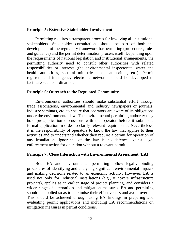#### **Principle 5: Extensive Stakeholder Involvement**

Permitting requires a transparent process for involving all institutional stakeholders. Stakeholder consultations should be part of both the development of the regulatory framework for permitting (procedures, rules and guidance) and the permit determination process itself. Depending upon the requirements of national legislation and institutional arrangements, the permitting authority need to consult other authorities with related responsibilities or interests (the environmental inspectorate, water and health authorities, sectoral ministries, local authorities, etc.). Permit registers and interagency electronic networks should be developed to facilitate such coordination.

#### **Principle 6: Outreach to the Regulated Community**

Environmental authorities should make substantial effort through trade associations, environmental and industry newspapers or journals, industry seminars, etc. to ensure that operators are aware of its obligations under the environmental law. The environmental permitting authority may hold pre-application discussions with the operator before it submits a formal application in order to clarify relevant requirements. Nevertheless, it is the responsibility of operators to know the law that applies to their activities and to understand whether they require a permit for operation of any installation. Ignorance of the law is no defence against legal enforcement action for operation without a relevant permit.

#### **Principle 7: Close Interaction with Environmental Assessment (EA)**

Both EA and environmental permitting follow legally binding procedures of identifying and analysing significant environmental impacts and making decisions related to an economic activity. However, EA is used not only for industrial installations (e.g., it covers infrastructure projects), applies at an earlier stage of project planning, and considers a wider range of alternatives and mitigation measures. EA and permitting should be applied so as to maximise their effectiveness and avoid overlap. This should be achieved through using EA findings in preparing and evaluating permit applications and including EA recommendations on mitigation measures in permit conditions.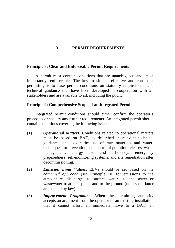# **3. PERMIT REQUIREMENTS**

#### **Principle 8: Clear and Enforceable Permit Requirements**

A permit must contain conditions that are unambiguous and, most importantly, enforceable. The key to simple, effective and consistent permitting is to base permit conditions on statutory requirements and technical guidance that have been developed in cooperation with all stakeholders and are available to all, including the public.

## **Principle 9: Comprehensive Scope of an Integrated Permit**

Integrated permit conditions should either confirm the operator's proposals or specify any further requirements. An integrated permit should contain conditions covering the following issues:

- (1) *Operational Matters***.** Conditions related to operational matters must be based on BAT, as described in relevant technical guidance, and cover the use of raw materials and water; techniques for prevention and control of pollution releases; waste management; energy use and efficiency; emergency preparedness; self-monitoring systems; and site remediation after decommissioning.
- (2) *Emission Limit Values***.** ELVs should be set based on the *combined approach* (see Principle 10) for emissions to the atmosphere, discharges to surface waters, to the sewer or wastewater treatment plant, and to the ground (unless the latter are banned by law).
- (3) *Improvement Programme***.** When the permitting authority accepts an argument from the operator of an existing installation that it cannot afford an immediate move to a BAT, an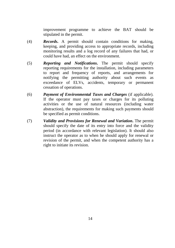improvement programme to achieve the BAT should be stipulated in the permit.

- (4) *Records***.** A permit should contain conditions for making, keeping, and providing access to appropriate records, including monitoring results and a log record of any failures that had, or could have had, an effect on the environment.
- (5) *Reporting and Notifications***.** The permit should specify reporting requirements for the installation, including parameters to report and frequency of reports, and arrangements for notifying the permitting authority about such events as exceedance of ELVs, accidents, temporary or permanent cessation of operations.
- (6) *Payment of Environmental Taxes and Charges* (if applicable). If the operator must pay taxes or charges for its polluting activities or the use of natural resources (including water abstraction), the requirements for making such payments should be specified as permit conditions.
- (7) *Validity and Provisions for Renewal and Variation***.** The permit should specify the date of its entry into force and the validity period (in accordance with relevant legislation). It should also instruct the operator as to when he should apply for renewal or revision of the permit, and when the competent authority has a right to initiate its revision.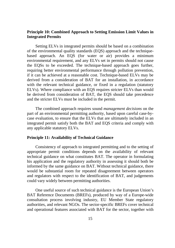## **Principle 10: Combined Approach to Setting Emission Limit Values in Integrated Permits**

Setting ELVs in integrated permits should be based on a combination of the environmental quality standards (EQS) approach and the techniquebased approach. An EQS (for water or air) provides a minimum environmental requirement, and any ELVs set in permits should not cause the EQSs to be exceeded. The technique-based approach goes further, requiring better environmental performance through pollution prevention, if it can be achieved at a reasonable cost. Technique-based ELVs may be derived from a consideration of BAT for an installation, in accordance with the relevant technical guidance, or fixed in a regulation (statutory ELVs). Where compliance with an EQS requires stricter ELVs than would be derived from consideration of BAT, the EQS should take precedence and the stricter ELVs must be included in the permit.

The combined approach requires sound *management decisions* on the part of an environmental permitting authority, based upon careful case-bycase evaluation, to ensure that the ELVs that are ultimately included in an integrated permit satisfy both the BAT and EQS criteria and comply with any applicable statutory ELVs.

### **Principle 11: Availability of Technical Guidance**

Consistency of approach to integrated permitting and to the setting of appropriate permit conditions depends on the availability of relevant technical guidance on what constitutes BAT. The operator in formulating his application and the regulatory authority in assessing it should both be informed by the same guidance on BAT. Without technical guidance, there would be substantial room for repeated disagreement between operators and regulators with respect to the identification of BAT, and judgements could vary widely between permitting authorities.

One useful source of such technical guidance is the European Union's BAT Reference Documents (BREFs), produced by way of a Europe-wide consultation process involving industry, EU Member State regulatory authorities, and relevant NGOs. The sector-specific BREFs cover technical and operational features associated with BAT for the sector, together with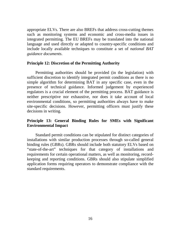appropriate ELVs. There are also BREFs that address cross-cutting themes such as monitoring systems and economic and cross-media issues in integrated permitting. The EU BREFs may be translated into the national language and used directly or adapted to country-specific conditions and include locally available techniques to constitute a set of *national BAT guidance documents*.

#### **Principle 12: Discretion of the Permitting Authority**

Permitting authorities should be provided (in the legislation) with sufficient discretion to identify integrated permit conditions as there is no simple algorithm for determining BAT in any specific case, even in the presence of technical guidance. Informed judgement by experienced regulators is a crucial element of the permitting process. BAT guidance is neither prescriptive nor exhaustive, nor does it take account of local environmental conditions, so permitting authorities always have to make site-specific decisions. However, permitting officers must justify these decisions in writing.

## **Principle 13: General Binding Rules for SMEs with Significant Environmental Impact**

Standard permit conditions can be stipulated for distinct categories of installations with similar production processes through so-called general binding rules (GBRs). GBRs should include both statutory ELVs based on "state-of-the-art" techniques for that category of installations and requirements for certain operational matters, as well as monitoring, recordkeeping and reporting conditions. GBRs should also stipulate simplified application forms requiring operators to demonstrate compliance with the standard requirements.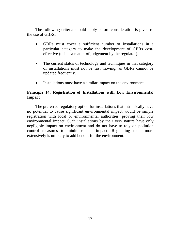The following criteria should apply before consideration is given to the use of GBRs:

- GBRs must cover a sufficient number of installations in a particular category to make the development of GBRs costeffective (this is a matter of judgement by the regulator).
- The current status of technology and techniques in that category of installations must not be fast moving, as GBRs cannot be updated frequently.
- Installations must have a similar impact on the environment.

## **Principle 14: Registration of Installations with Low Environmental Impact**

The preferred regulatory option for installations that intrinsically have no potential to cause significant environmental impact would be simple registration with local or environmental authorities, proving their low environmental impact. Such installations by their very nature have only negligible impact on environment and do not have to rely on pollution control measures to minimise that impact. Regulating them more extensively is unlikely to add benefit for the environment.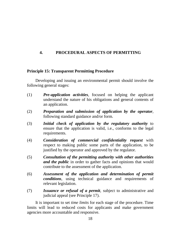# **4. PROCEDURAL ASPECTS OF PERMITTING**

## **Principle 15: Transparent Permitting Procedure**

Developing and issuing an environmental permit should involve the following general stages:

- (1) *Pre-application activities*, focused on helping the applicant understand the nature of his obligations and general contents of an application.
- (2) *Preparation and submission of application by the operator*, following standard guidance and/or form.
- (3) *Initial check of application by the regulatory authority* to ensure that the application is valid, i.e., conforms to the legal requirements.
- (4) *Consideration of commercial confidentiality request* with respect to making public some parts of the application, to be justified by the operator and approved by the regulator.
- (5) *Consultation of the permitting authority with other authorities and the public* in order to gather facts and opinions that would contribute to the assessment of the application.
- (6) *Assessment of the application and determination of permit conditions*, using technical guidance and requirements of relevant legislation.
- (7) *Issuance or refusal of a permit*, subject to administrative and judicial appeal (see Principle 17).

It is important to set *time limits* for each stage of the procedure. Time limits will lead to reduced costs for applicants and make government agencies more accountable and responsive.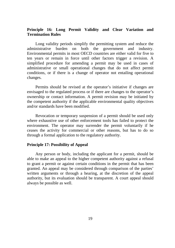# **Principle 16: Long Permit Validity and Clear Variation and Termination Rules**

Long validity periods simplify the permitting system and reduce the administrative burden on both the government and industry. Environmental permits in most OECD countries are either valid for five to ten years or remain in force until other factors trigger a revision. A simplified procedure for amending a permit may be used in cases of administrative or small operational changes that do not affect permit conditions, or if there is a change of operator not entailing operational changes.

Permits should be revised at the operator's initiative if changes are envisaged to the regulated process or if there are changes to the operator's ownership or contact information. A permit revision may be initiated by the competent authority if the applicable environmental quality objectives and/or standards have been modified.

Revocation or temporary suspension of a permit should be used only where exhaustive use of other enforcement tools has failed to protect the environment. The operator may surrender the permit voluntarily if he ceases the activity for commercial or other reasons, but has to do so through a formal application to the regulatory authority.

#### **Principle 17: Possibility of Appeal**

Any person or body, including the applicant for a permit, should be able to make an appeal to the higher competent authority against a refusal to grant a permit or against certain conditions in the permit that has been granted. An appeal may be considered through comparison of the parties' written arguments or through a hearing, at the discretion of the appeal authority, but its evaluation should be transparent. A court appeal should always be possible as well.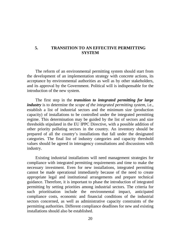## **5. TRANSITION TO AN EFFECTIVE PERMITTING SYSTEM**

The reform of an environmental permitting system should start from the development of an implementation strategy with concrete actions, its acceptance by environmental authorities as well as by other stakeholders, and its approval by the Government. Political will is indispensable for the introduction of the new system.

The first step in the *transition to integrated permitting for large industry* is to determine the *scope of the integrated permitting system*, i.e., establish a list of industrial sectors and the minimum size (production capacity) of installations to be controlled under the integrated permitting regime. This determination may be guided by the list of sectors and size thresholds stipulated in the EU IPPC Directive, with a possible addition of other priority polluting sectors in the country. An inventory should be prepared of all the country's installations that fall under the designated categories. The final list of industry categories and capacity threshold values should be agreed in interagency consultations and discussions with industry.

Existing industrial installations will need management strategies for compliance with integrated permitting requirements and time to make the necessary investment. Even for new installations, integrated permitting cannot be made operational immediately because of the need to create appropriate legal and institutional arrangements and prepare technical guidance. Therefore, it is important to phase the introduction of integrated permitting by setting priorities among industrial sectors. The criteria for such prioritisation include the environmental impact, anticipated compliance costs, economic and financial conditions of the industrial sectors concerned, as well as administrative capacity constraints of the permitting authorities. Different compliance deadlines for new and existing installations should also be established.